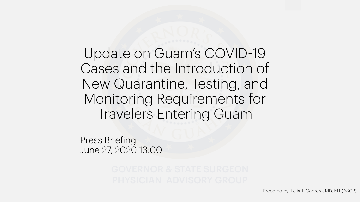Update on Guam's COVID-19 Cases and the Introduction of New Quarantine, Testing, and Monitoring Requirements for Travelers Entering Guam

Press Briefing June 27, 2020 13:00

Prepared by: Felix T. Cabrera, MD, MT (ASCP)

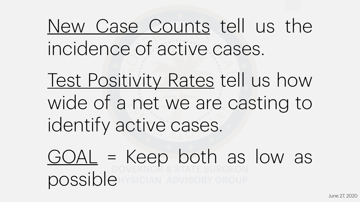# New Case Counts tell us the

# Test Positivity Rates tell us how wide of a net we are casting to

 $GOAL = Keep both as low as$ </u> possible

incidence of active cases. identify active cases.

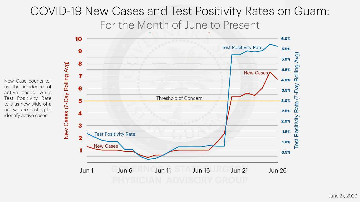New Cases (7-Day Rolling Avg)

New Cases (7-Day Rolling Avg)



## COVID-19 New Cases and Test Positivity Rates on Guam: For the Month of June to Present

New Case counts tell us the incidence of active cases, while Test Positivity Rate tells us how wide of a net we are casting to identify active cases.

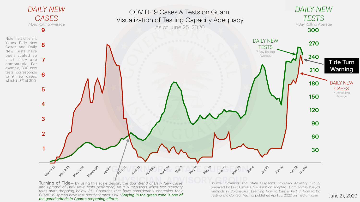

## *DAILY NEW CASES*  7-Day Rolling Average



that they are  $\overline{7}$ Y-axes. Daily New<br>Cases and Daily **8** Note the 2 different Cases and Daily New Tests have been scaled so comparable. For example, 300 new tests corresponds to 9 new cases, which is 3% of 300.



PHYSICIAN ADVISORY PRYSICIAL CONTRACT CONTRACT CONTRACT CONTRACT CONTRACT CONTRACT CONTRACT CONTRACT CONTRACT CON<br>
Principal of Tide— By using this scale design, the downtrend of Daily New Cases Source: Governor and and uptrend of Daily New Tests performed, visually intersects when test positivity rates start dropping below 3%. Countries that have considerably controlled their *COVID-19 spread have test positivity rates <3%. \*Staying in the green zone is one of the gated criteria in Guam's reopening efforts.* 

Source: Governor and State Surgeon's Physician Advisory Group, prepared by Felix Cabrera. Visualization adopted from Tomas Pueyo's methods in *Coronavirus: Learning How to Dance, Part 3: How to Do Testing and Contact Tracing,* published April 28, 2020 on [medium.com](https://medium.com/@tomaspueyo/coronavirus-how-to-do-testing-and-contact-tracing-bde85b64072e)



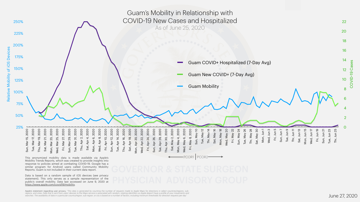



Relative Mobility of iOS Devices

Relative Mobility of iOS

**Devices** 



Sat, May 2, 2020

Sat, May 2, 2020

Mon, May 4, 2020

Mon, May 4, 2020

Wed, May 6, 2020

May 6,

Wed,

2020

Fri, May 8, 2020

Fri,

May 8, 2020

Sun, May 10

Sun, May 10

PCOR1 PCOR2

Tue, May 12

Tue, May 12

Thr, May 14

Thr, May 14

Sat, May 16

Sat, May 16

Mon, May 18

Mon, May 18

Wed, May 20

**Ned, May 20** 

Fri, May 22

Fri, May 22

Sun, May 24

Sun, May 24

Tue, May 26

Tue, May 26

Thr, May 28

Thr, May 28

Sat, May 30

Sat, May 30

Mon, Jun 1

Mon, Jun

Wed, Jun 3

Wed, Jun 3

Fri, Jun 5

Sun, Jun 7

Sun, Jun 7

Tue, Jun 9

Tue, Jun 9

Thr, Jun 11

Thr, Jun 11

Sat, Jun 13

Sat, Jun 13

Mon, Jun 15

Mon, Jun 15

Wed, Jun 17

Ned, Jun 17

Fri, Jun 19

Fri, Jun 19

Apple's statement regarding user privacy, "This data is generated by counting the number of requests made to Apple Maps for directions in select countries/regions, subregions, and cities. Data that is sent from users' devices to the Maps service is associated with random, rotating identifiers so Apple doesn't have a profile of your movements and *searches. The availability of data in a particular country/region, sub-region, or city is based on a number of factors, including minimum thresholds for direction requests per day."*

Sun, Jun 21

Sun, Jun 21

Tue, Jun 23

Tue, Jun 23

Thr, Jun 25

Thr, Jun 25

Guam's Mobility in Relationship with COVID-19 New Cases and Hospitalized As of June 25, 2020

This anonymized mobility data is made available via Apple's Mobility Trends Reports, which was created to provide insights into response to policies aimed at combating COVID-19. Google has a similar program for Android users called Community Mobility Reports. Guam is not included in their current data report.

Data is based on a random sample of iOS devices (see privacy statement). This only serves as a sample representation of the public's overall mobility. Data last accessed on June 9, 2020 at [https://www.apple.com/covid19/mobility.](https://www.apple.com/covid19/mobility)

Guam COVID+ Hospitalized (7-Day Avg)

Guam New COVID+ (7-Day Avg)

Guam Mobility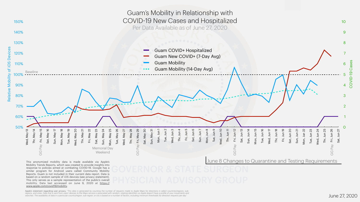

Apple's statement regarding user privacy, "This data is generated by counting the number of requests made to Apple Maps for directions in select countries/regions, subregions, and cities. Data that is sent from users' devices to the Maps service is associated with random, rotating identifiers so Apple doesn't have a profile of your movements and *searches. The availability of data in a particular country/region, sub-region, or city is based on a number of factors, including minimum thresholds for direction requests per day."*



This only serves as a sample representation of the public's overall mobility. Data last accessed on June 9, 2020 at [https://](https://www.apple.com/covid19/mobility) [www.apple.com/covid19/mobility.](https://www.apple.com/covid19/mobility)

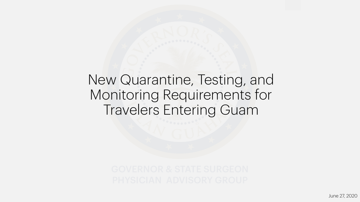# New Quarantine, Testing, and Monitoring Requirements for Travelers Entering Guam

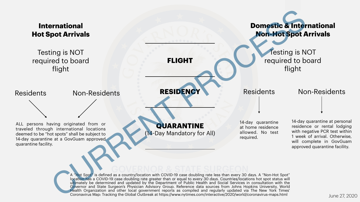## **International Hot Spot Arrivals**

## **Domestic & International Non-Hot Spot Arrivals**

**QUARANTINE**  14-Day Mandatory for All)

ALL persons having originated from or traveled through international locations deemed to be "hot spots" shall be subject to 14-day quarantine at a GovGuam approved quarantine facility.

GOVERNOR & STATE SURGEON Not apply to domicd as a sound y, location with so we to case doubling rate reso than every so days. A won not opet<br>location has a COVID-19 case doubling rate greater than or equal to every 30 days. Countries/locations hot A "Hot Spot" is defined as a country/location with COVID-19 case doubling rate less than every 30 days. A "Non-Hot Spot" ultimately be determined and updated by the Department of Public Health and Social Services in consultation with the Governor and State Surgeon's Physician Advisory Group. Reference data sources from Johns Hopkins University, World Health Organization and other local government reports as compiled and regularly updated via The New York Times' Coronavirus Map: Tracking the Global Outbreak at https://www.nytimes.com/interactive/2020/world/coronavirus-maps.html **Example 1998**<br>
Fight<br>
Mon-Hot spot Arrivals<br>
Fight<br>
Non-Residents<br>
Mon-Hot spot A<br>
flight<br>
Non-Residents<br>
Mon-Hot spot Arrivals<br>
In the contract of the contract of the Day Mandatory for All)<br>
Non-Hot spot Arrivals<br>
Fight<br>

**FLIGHT**

**RESIDENCY**

14-day quarantine at home residence allowed. No test required.

14-day quarantine at personal residence or rental lodging with negative PCR test within 1 week of arrival. Otherwise, will complete in GovGuam approved quarantine facility.





Testing is NOT required to board flight

# Residents Non-Residents **RESIDENCY** Residents Non-Residents

Testing is NOT required to board

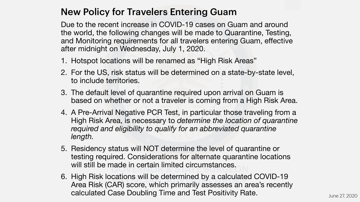## New Policy for Travelers Entering Guam

Due to the recent increase in COVID-19 cases on Guam and around the world, the following changes will be made to Quarantine, Testing, and Monitoring requirements for all travelers entering Guam, effective after midnight on Wednesday, July 1, 2020.

2. For the US, risk status will be determined on a state-by-state level,

Idue III certain infined circuitistances. 5. Residency status will NOT determine the level of quarantine or testing required. Considerations for alternate quarantine locations

cations will be determined by a calculate<br>AD) ceoro which primarily assossor an a 6. High Risk locations will be determined by a calculated COVID-19 Area Risk (CAR) score, which primarily assesses an area's recently calculated Case Doubling Time and Test Positivity Rate. June 27, 2020



3. The default level of quarantine required upon arrival on Guam is based on whether or not a traveler is coming from a High Risk Area.

- 1. Hotspot locations will be renamed as "High Risk Areas"
- to include territories.
- 
- *length.*
- will still be made in certain limited circumstances.
- 

4. A Pre-Arrival Negative PCR Test, in particular those traveling from a High Risk Area, is necessary to *determine the location of quarantine required and eligibility to qualify for an abbreviated quarantine*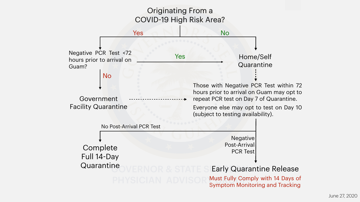Government Facility Quarantine

Negative PCR Test <72 hours prior to arrival on Guam?



No

No Post-Arrival PCR Test

GOVERNOR & STAT Complete Full 14-Day **Quarantine** 

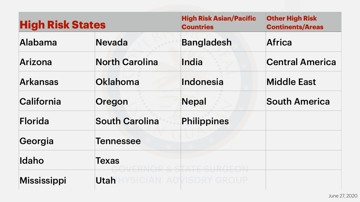| <b>High Risk States</b> |                       | <b>High Risk Asian/Pacific</b><br><b>Countries</b> | <b>Other High Risk</b><br><b>Continents/Areas</b> |
|-------------------------|-----------------------|----------------------------------------------------|---------------------------------------------------|
| Alabama                 | <b>Nevada</b>         | <b>Bangladesh</b>                                  | <b>Africa</b>                                     |
| Arizona                 | <b>North Carolina</b> | India                                              | <b>Central America</b>                            |
| <b>Arkansas</b>         | Oklahoma              | Indonesia                                          | <b>Middle East</b>                                |
| California              | Oregon                | <b>Nepal</b>                                       | <b>South America</b>                              |
| Florida                 | <b>South Carolina</b> | Philippines                                        |                                                   |
| Georgia                 | <b>Tennessee</b>      |                                                    |                                                   |
| Idaho                   | <b>Texas</b>          | <u>AVEDNOD 2 STATE SI DCEON</u>                    |                                                   |
| Mississippi             | <b>Utah</b>           | VEIAI AN ADWODY ADAHD<br>IJIUMN ADVIJUKI UKUUF     |                                                   |